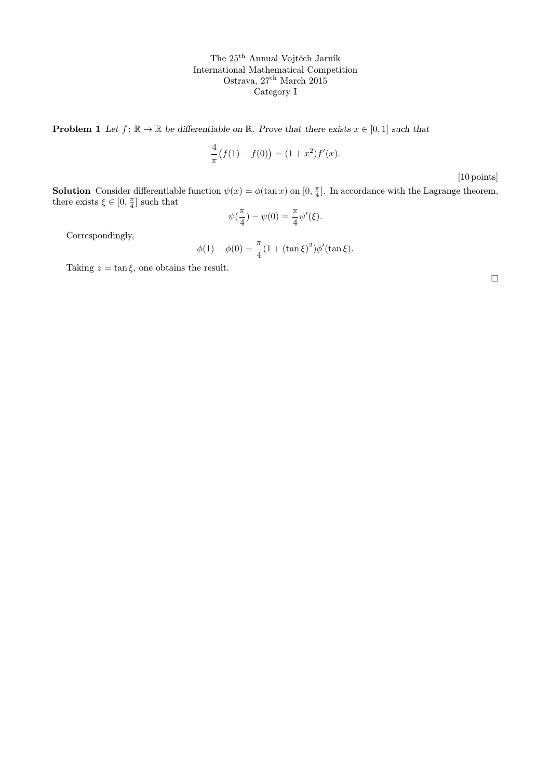**Problem 1** Let  $f: \mathbb{R} \to \mathbb{R}$  be differentiable on  $\mathbb{R}$ . Prove that there exists  $x \in [0,1]$  such that

$$
\frac{4}{\pi}(f(1) - f(0)) = (1 + x^2)f'(x).
$$

[10 points]

**Solution** Consider differentiable function  $\psi(x) = \phi(\tan x)$  on  $[0, \frac{\pi}{4}]$ . In accordance with the Lagrange theorem, there exists  $\xi \in [0, \frac{\pi}{4}]$  such that

$$
\psi(\frac{\pi}{4}) - \psi(0) = \frac{\pi}{4} \psi'(\xi).
$$

Correspondingly,

$$
\phi(1) - \phi(0) = \frac{\pi}{4} (1 + (\tan \xi)^2) \phi'(\tan \xi).
$$

Taking  $z = \tan \xi$ , one obtains the result.

 $\Box$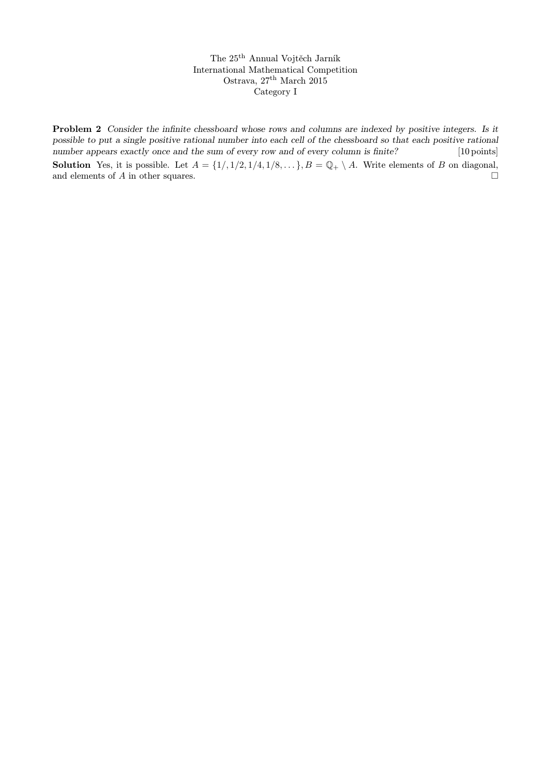Problem 2 Consider the infinite chessboard whose rows and columns are indexed by positive integers. Is it possible to put a single positive rational number into each cell of the chessboard so that each positive rational number appears exactly once and the sum of every row and of every column is finite? [10 points]

**Solution** Yes, it is possible. Let  $A = \{1/1/2, 1/4, 1/8, ...\}$ ,  $B = \mathbb{Q}_+ \setminus A$ . Write elements of B on diagonal, and elements of A in other squares. and elements of A in other squares.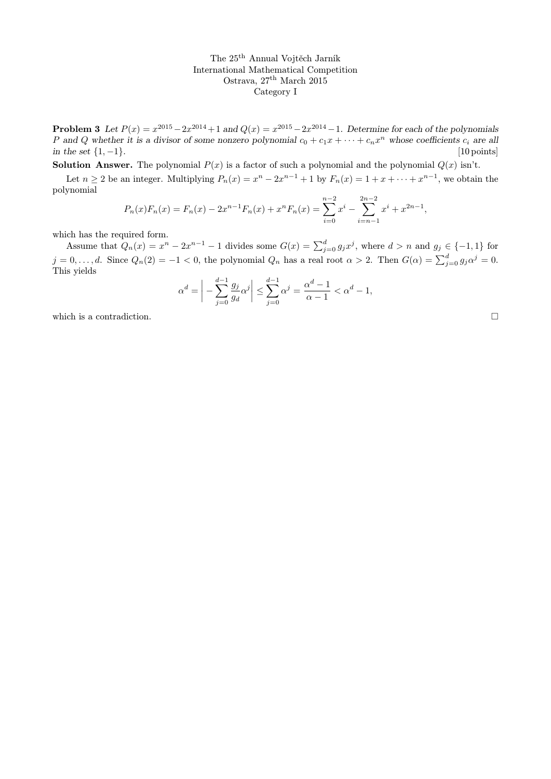**Problem 3** Let  $P(x) = x^{2015} - 2x^{2014} + 1$  and  $Q(x) = x^{2015} - 2x^{2014} - 1$ . Determine for each of the polynomials P and Q whether it is a divisor of some nonzero polynomial  $c_0 + c_1x + \cdots + c_nx^n$  whose coefficients  $c_i$  are all in the set  $\{1, -1\}$ . [10 points]

**Solution Answer.** The polynomial  $P(x)$  is a factor of such a polynomial and the polynomial  $Q(x)$  isn't.

Let  $n \geq 2$  be an integer. Multiplying  $P_n(x) = x^n - 2x^{n-1} + 1$  by  $F_n(x) = 1 + x + \cdots + x^{n-1}$ , we obtain the polynomial

$$
P_n(x)F_n(x) = F_n(x) - 2x^{n-1}F_n(x) + x^nF_n(x) = \sum_{i=0}^{n-2} x^i - \sum_{i=n-1}^{2n-2} x^i + x^{2n-1},
$$

which has the required form.

Assume that  $Q_n(x) = x^n - 2x^{n-1} - 1$  divides some  $G(x) = \sum_{j=0}^d g_j x^j$ , where  $d > n$  and  $g_j \in \{-1, 1\}$  for  $j = 0, \ldots, d$ . Since  $Q_n(2) = -1 < 0$ , the polynomial  $Q_n$  has a real root  $\alpha > 2$ . Then  $G(\alpha) = \sum_{j=0}^d g_j \alpha^j = 0$ . This yields

$$
\alpha^{d} = \left| -\sum_{j=0}^{d-1} \frac{g_j}{g_d} \alpha^j \right| \le \sum_{j=0}^{d-1} \alpha^j = \frac{\alpha^d - 1}{\alpha - 1} < \alpha^d - 1,
$$

which is a contradiction.  $\Box$